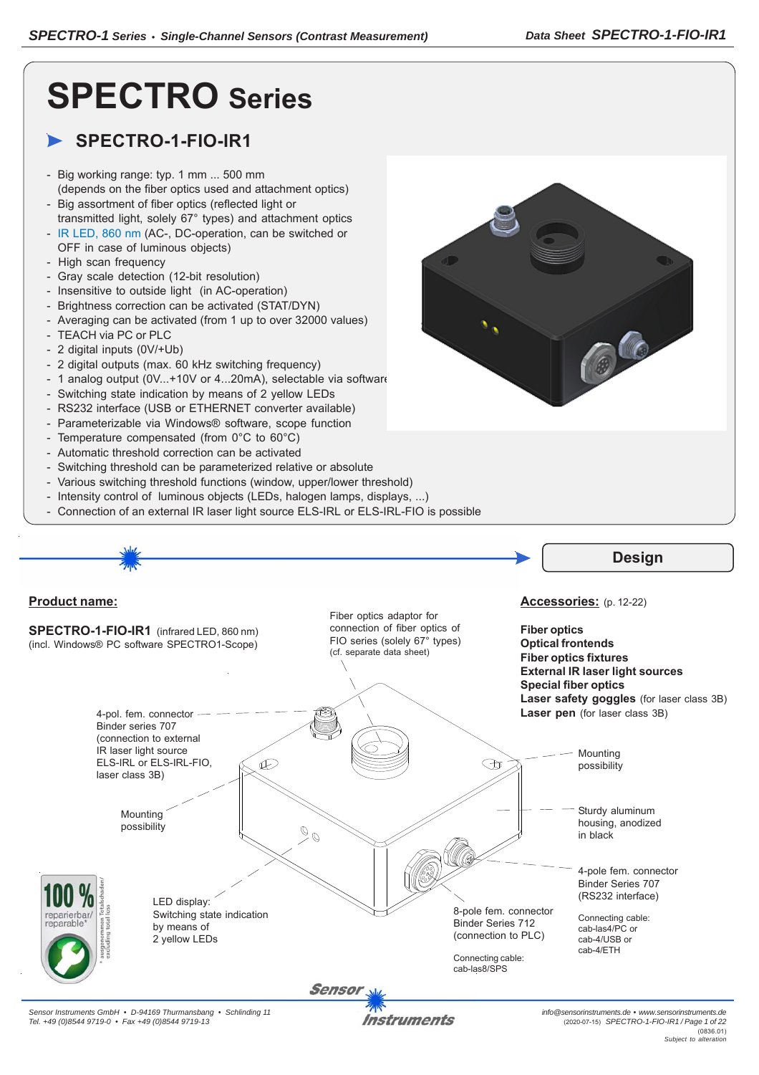# **SPECTRO Series**

# **SPECTRO-1-FIO-IR1**

- Big working range: typ. 1 mm ... 500 mm (depends on the fiber optics used and attachment optics)
- Big assortment of fiber optics (reflected light or transmitted light, solely 67° types) and attachment optics
- IR LED, 860 nm (AC-, DC-operation, can be switched or OFF in case of luminous objects)
- High scan frequency
- Gray scale detection (12-bit resolution)
- Insensitive to outside light (in AC-operation)
- Brightness correction can be activated (STAT/DYN)
- Averaging can be activated (from 1 up to over 32000 values)
- TEACH via PC or PLC
- 2 digital inputs (0V/+Ub)
- 2 digital outputs (max. 60 kHz switching frequency)
- 1 analog output (0V...+10V or 4...20mA), selectable via software
- Switching state indication by means of 2 yellow LEDs
- RS232 interface (USB or ETHERNET converter available)
- Parameterizable via Windows® software, scope function
- Temperature compensated (from 0°C to 60°C)
- Automatic threshold correction can be activated
- Switching threshold can be parameterized relative or absolute
- Various switching threshold functions (window, upper/lower threshold)
- Intensity control of luminous objects (LEDs, halogen lamps, displays, ...)
- Connection of an external IR laser light source ELS-IRL or ELS-IRL-FIO is possible

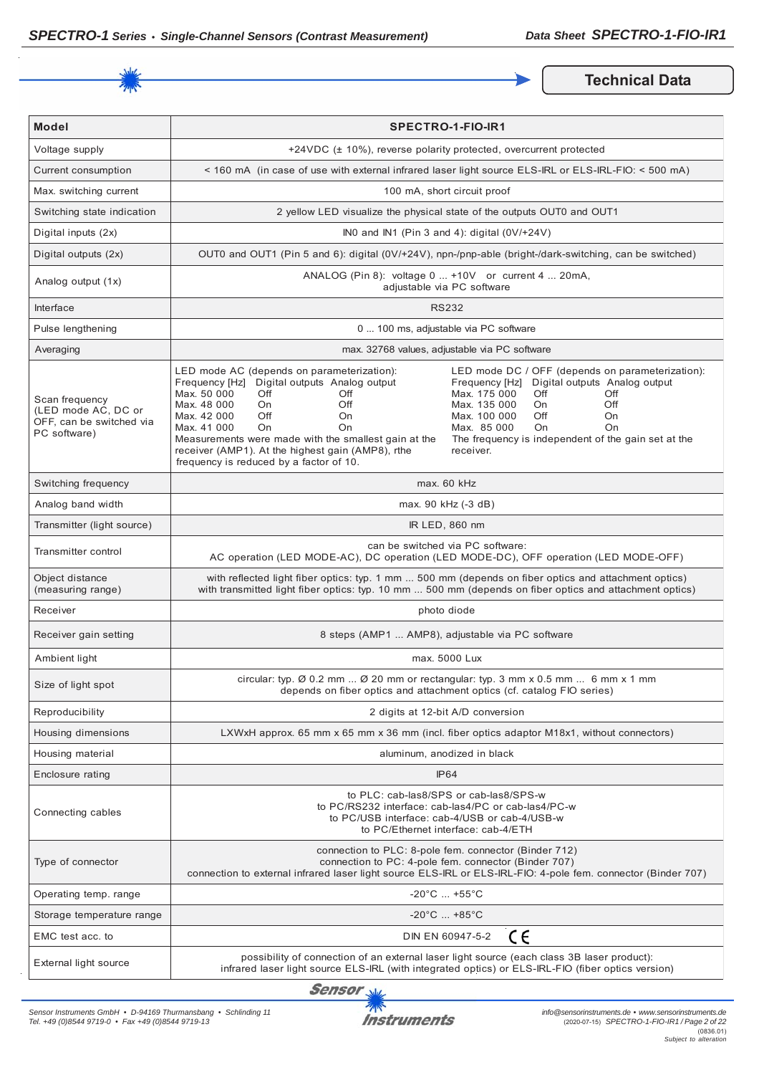

**Technical Data** 

| <b>Model</b>                                                                      | <b>SPECTRO-1-FIO-IR1</b>                                                                                                                                                                                                                                                                                                                                           |                                                                                                                                                                                                                                                                                             |
|-----------------------------------------------------------------------------------|--------------------------------------------------------------------------------------------------------------------------------------------------------------------------------------------------------------------------------------------------------------------------------------------------------------------------------------------------------------------|---------------------------------------------------------------------------------------------------------------------------------------------------------------------------------------------------------------------------------------------------------------------------------------------|
| Voltage supply                                                                    |                                                                                                                                                                                                                                                                                                                                                                    | +24VDC (± 10%), reverse polarity protected, overcurrent protected                                                                                                                                                                                                                           |
| Current consumption                                                               |                                                                                                                                                                                                                                                                                                                                                                    | < 160 mA (in case of use with external infrared laser light source ELS-IRL or ELS-IRL-FIO: < 500 mA)                                                                                                                                                                                        |
| Max. switching current                                                            | 100 mA, short circuit proof                                                                                                                                                                                                                                                                                                                                        |                                                                                                                                                                                                                                                                                             |
| Switching state indication                                                        |                                                                                                                                                                                                                                                                                                                                                                    | 2 yellow LED visualize the physical state of the outputs OUT0 and OUT1                                                                                                                                                                                                                      |
| Digital inputs (2x)                                                               |                                                                                                                                                                                                                                                                                                                                                                    | INO and IN1 (Pin 3 and 4): digital $(0V/+24V)$                                                                                                                                                                                                                                              |
| Digital outputs (2x)                                                              |                                                                                                                                                                                                                                                                                                                                                                    | OUT0 and OUT1 (Pin 5 and 6): digital (0V/+24V), npn-/pnp-able (bright-/dark-switching, can be switched)                                                                                                                                                                                     |
| Analog output (1x)                                                                | ANALOG (Pin 8): voltage 0  +10V or current 4  20mA,<br>adjustable via PC software                                                                                                                                                                                                                                                                                  |                                                                                                                                                                                                                                                                                             |
| Interface                                                                         | <b>RS232</b>                                                                                                                                                                                                                                                                                                                                                       |                                                                                                                                                                                                                                                                                             |
| Pulse lengthening                                                                 |                                                                                                                                                                                                                                                                                                                                                                    | 0  100 ms, adjustable via PC software                                                                                                                                                                                                                                                       |
| Averaging                                                                         |                                                                                                                                                                                                                                                                                                                                                                    | max. 32768 values, adjustable via PC software                                                                                                                                                                                                                                               |
| Scan frequency<br>(LED mode AC, DC or<br>OFF, can be switched via<br>PC software) | LED mode AC (depends on parameterization):<br>Frequency [Hz] Digital outputs Analog output<br>Max. 50 000<br>Off<br>Off<br>Max. 48 000<br>On<br>Off<br>Off<br>Max. 42 000<br>On<br>Max. 41 000<br>On<br>On<br>Measurements were made with the smallest gain at the<br>receiver (AMP1). At the highest gain (AMP8), rthe<br>frequency is reduced by a factor of 10. | LED mode DC / OFF (depends on parameterization):<br>Digital outputs Analog output<br>Frequency [Hz]<br>Max. 175 000<br>Off<br>Off<br>Max. 135 000<br>Off<br>On.<br>Off<br>Max. 100 000<br>On<br>Max. 85 000<br>On<br>On<br>The frequency is independent of the gain set at the<br>receiver. |
| Switching frequency                                                               | max. 60 kHz                                                                                                                                                                                                                                                                                                                                                        |                                                                                                                                                                                                                                                                                             |
| Analog band width                                                                 | max. 90 kHz (-3 dB)                                                                                                                                                                                                                                                                                                                                                |                                                                                                                                                                                                                                                                                             |
| Transmitter (light source)                                                        | IR LED, 860 nm                                                                                                                                                                                                                                                                                                                                                     |                                                                                                                                                                                                                                                                                             |
| Transmitter control                                                               | can be switched via PC software:<br>AC operation (LED MODE-AC), DC operation (LED MODE-DC), OFF operation (LED MODE-OFF)                                                                                                                                                                                                                                           |                                                                                                                                                                                                                                                                                             |
| Object distance<br>(measuring range)                                              | with reflected light fiber optics: typ. 1 mm  500 mm (depends on fiber optics and attachment optics)<br>with transmitted light fiber optics: typ. 10 mm  500 mm (depends on fiber optics and attachment optics)                                                                                                                                                    |                                                                                                                                                                                                                                                                                             |
| Receiver                                                                          | photo diode                                                                                                                                                                                                                                                                                                                                                        |                                                                                                                                                                                                                                                                                             |
| Receiver gain setting                                                             | 8 steps (AMP1  AMP8), adjustable via PC software                                                                                                                                                                                                                                                                                                                   |                                                                                                                                                                                                                                                                                             |
| Ambient light                                                                     | max. 5000 Lux                                                                                                                                                                                                                                                                                                                                                      |                                                                                                                                                                                                                                                                                             |
| Size of light spot                                                                | circular: typ. $\emptyset$ 0.2 mm $\emptyset$ 20 mm or rectangular: typ. 3 mm x 0.5 mm  6 mm x 1 mm<br>depends on fiber optics and attachment optics (cf. catalog FIO series)                                                                                                                                                                                      |                                                                                                                                                                                                                                                                                             |
| Reproducibility                                                                   | 2 digits at 12-bit A/D conversion                                                                                                                                                                                                                                                                                                                                  |                                                                                                                                                                                                                                                                                             |
| Housing dimensions                                                                | LXWxH approx. 65 mm x 65 mm x 36 mm (incl. fiber optics adaptor M18x1, without connectors)                                                                                                                                                                                                                                                                         |                                                                                                                                                                                                                                                                                             |
| Housing material                                                                  | aluminum, anodized in black                                                                                                                                                                                                                                                                                                                                        |                                                                                                                                                                                                                                                                                             |
| Enclosure rating                                                                  | <b>IP64</b>                                                                                                                                                                                                                                                                                                                                                        |                                                                                                                                                                                                                                                                                             |
| Connecting cables                                                                 | to PLC: cab-las8/SPS or cab-las8/SPS-w<br>to PC/RS232 interface: cab-las4/PC or cab-las4/PC-w<br>to PC/USB interface: cab-4/USB or cab-4/USB-w<br>to PC/Ethernet interface: cab-4/ETH                                                                                                                                                                              |                                                                                                                                                                                                                                                                                             |
| Type of connector                                                                 | connection to PLC: 8-pole fem. connector (Binder 712)<br>connection to PC: 4-pole fem. connector (Binder 707)<br>connection to external infrared laser light source ELS-IRL or ELS-IRL-FIO: 4-pole fem. connector (Binder 707)                                                                                                                                     |                                                                                                                                                                                                                                                                                             |
| Operating temp. range                                                             | $-20^{\circ}$ C  +55 $^{\circ}$ C                                                                                                                                                                                                                                                                                                                                  |                                                                                                                                                                                                                                                                                             |
| Storage temperature range                                                         | $-20^{\circ}$ C  +85 $^{\circ}$ C                                                                                                                                                                                                                                                                                                                                  |                                                                                                                                                                                                                                                                                             |
| EMC test acc. to                                                                  | CE<br>DIN EN 60947-5-2                                                                                                                                                                                                                                                                                                                                             |                                                                                                                                                                                                                                                                                             |
| External light source                                                             | possibility of connection of an external laser light source (each class 3B laser product):<br>infrared laser light source ELS-IRL (with integrated optics) or ELS-IRL-FIO (fiber optics version)                                                                                                                                                                   |                                                                                                                                                                                                                                                                                             |

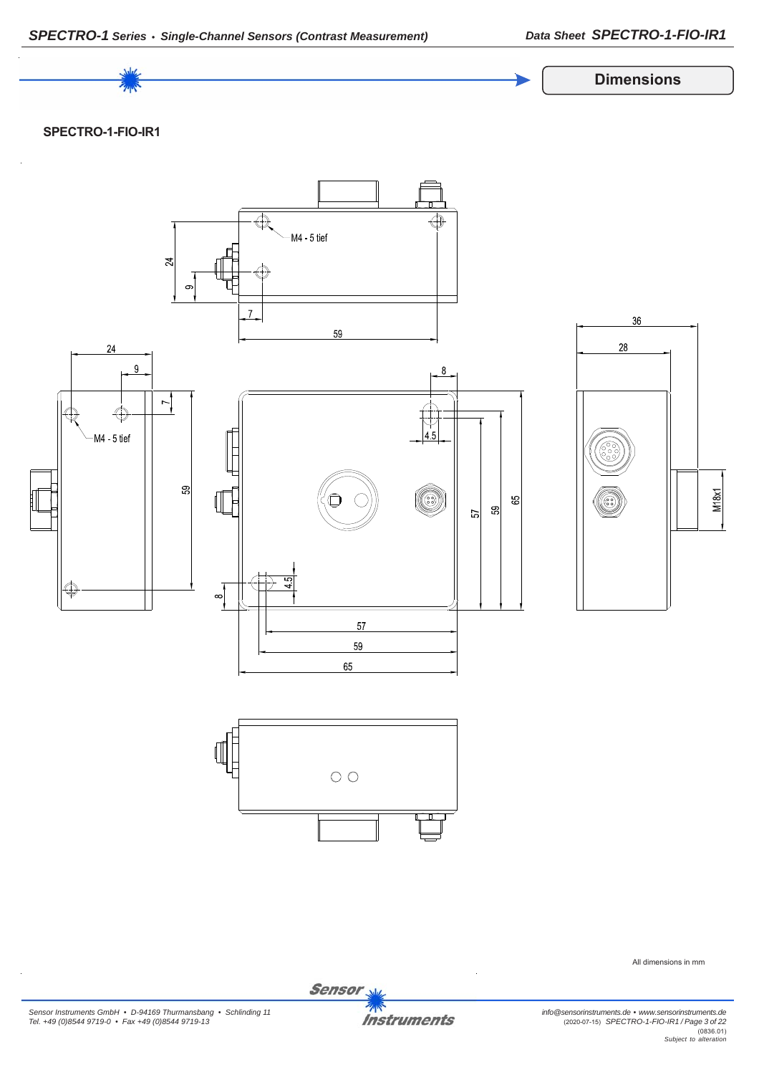

*Sensor Instruments GmbH • D-94169 Thurmansbang • Schlinding 11 Tel. +49 (0)8544 9719-0 • Fax +49 (0)8544 9719-13*

**Instruments** 

Sensor<sub>s</sub>

*info@sensorinstruments.de • www.sensorinstruments.de* (2020-07-15) *SPECTRO-1-FIO-IR1 / Page 3 of 22* (0836.01) *Subject to alteration*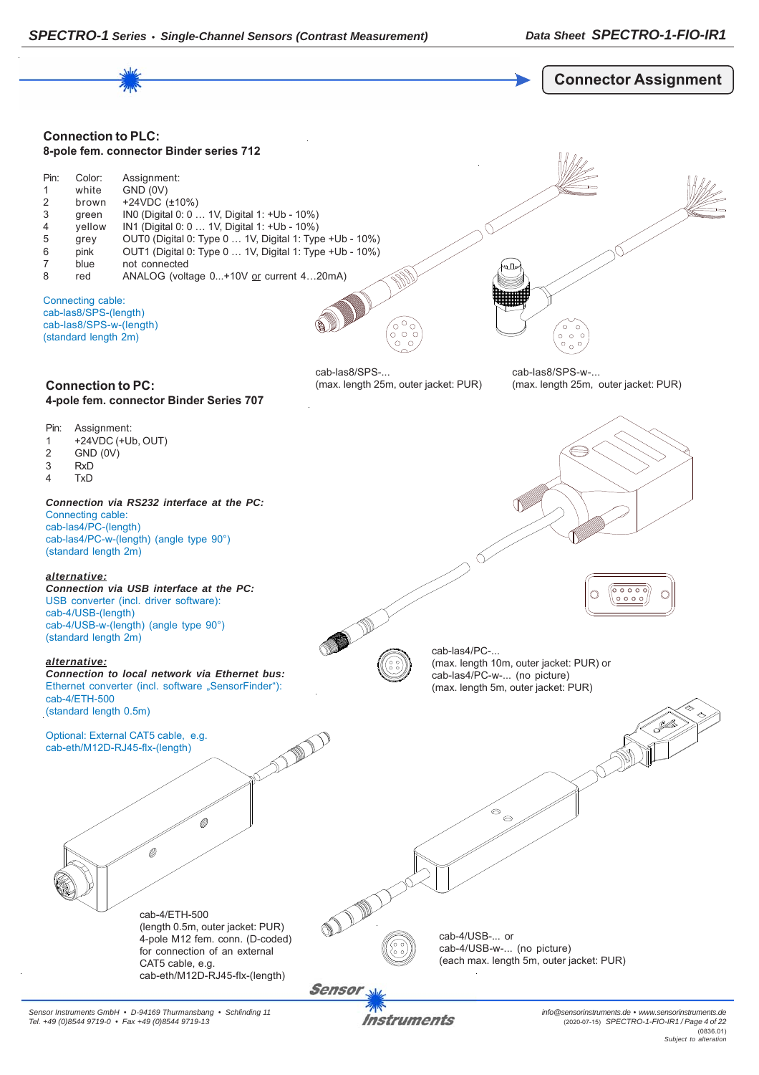

Instruments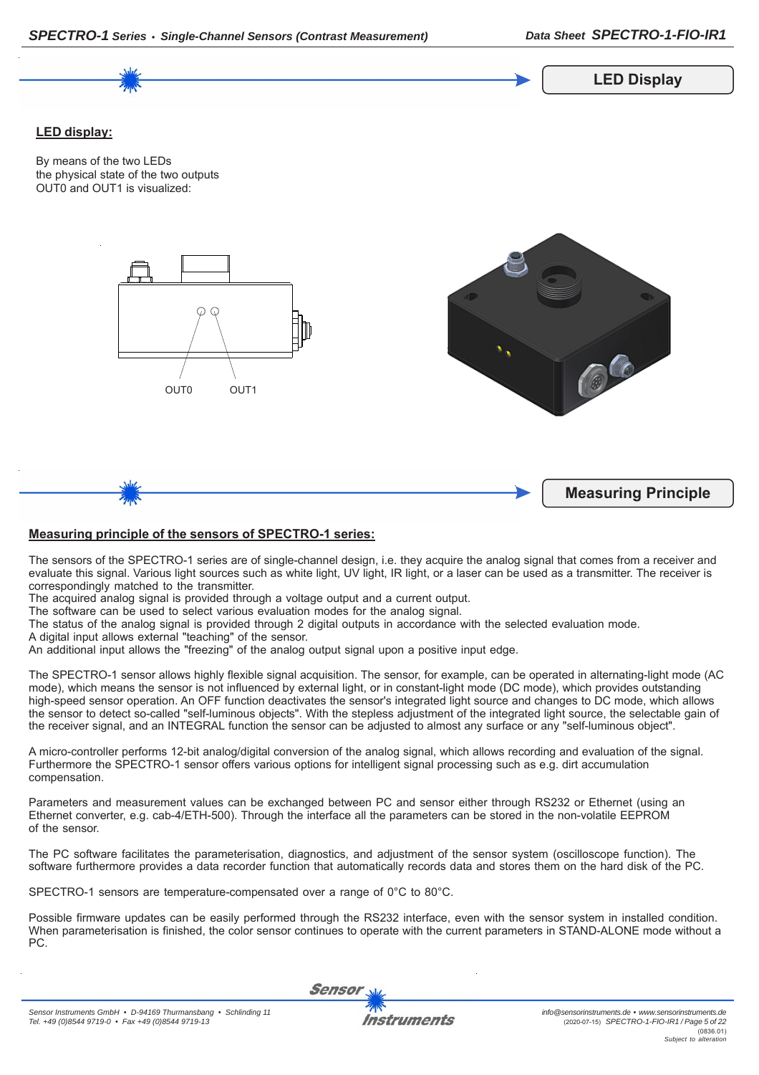

### **Measuring principle of the sensors of SPECTRO-1 series:**

*SPECTRO-1 Series • Single-Channel Sensors (Contrast Measurement)*

The sensors of the SPECTRO-1 series are of single-channel design, i.e. they acquire the analog signal that comes from a receiver and evaluate this signal. Various light sources such as white light, UV light, IR light, or a laser can be used as a transmitter. The receiver is correspondingly matched to the transmitter.

The acquired analog signal is provided through a voltage output and a current output.

The software can be used to select various evaluation modes for the analog signal.

The status of the analog signal is provided through 2 digital outputs in accordance with the selected evaluation mode.

A digital input allows external "teaching" of the sensor.

An additional input allows the "freezing" of the analog output signal upon a positive input edge.

The SPECTRO-1 sensor allows highly flexible signal acquisition. The sensor, for example, can be operated in alternating-light mode (AC mode), which means the sensor is not influenced by external light, or in constant-light mode (DC mode), which provides outstanding high-speed sensor operation. An OFF function deactivates the sensor's integrated light source and changes to DC mode, which allows the sensor to detect so-called "self-luminous objects". With the stepless adjustment of the integrated light source, the selectable gain of the receiver signal, and an INTEGRAL function the sensor can be adjusted to almost any surface or any "self-luminous object".

A micro-controller performs 12-bit analog/digital conversion of the analog signal, which allows recording and evaluation of the signal. Furthermore the SPECTRO-1 sensor offers various options for intelligent signal processing such as e.g. dirt accumulation compensation.

Parameters and measurement values can be exchanged between PC and sensor either through RS232 or Ethernet (using an Ethernet converter, e.g. cab-4/ETH-500). Through the interface all the parameters can be stored in the non-volatile EEPROM of the sensor.

The PC software facilitates the parameterisation, diagnostics, and adjustment of the sensor system (oscilloscope function). The software furthermore provides a data recorder function that automatically records data and stores them on the hard disk of the PC.

SPECTRO-1 sensors are temperature-compensated over a range of 0°C to 80°C.

Possible firmware updates can be easily performed through the RS232 interface, even with the sensor system in installed condition. When parameterisation is finished, the color sensor continues to operate with the current parameters in STAND-ALONE mode without a PC.

**Sensor** 

*Data Sheet SPECTRO-1-FIO-IR1*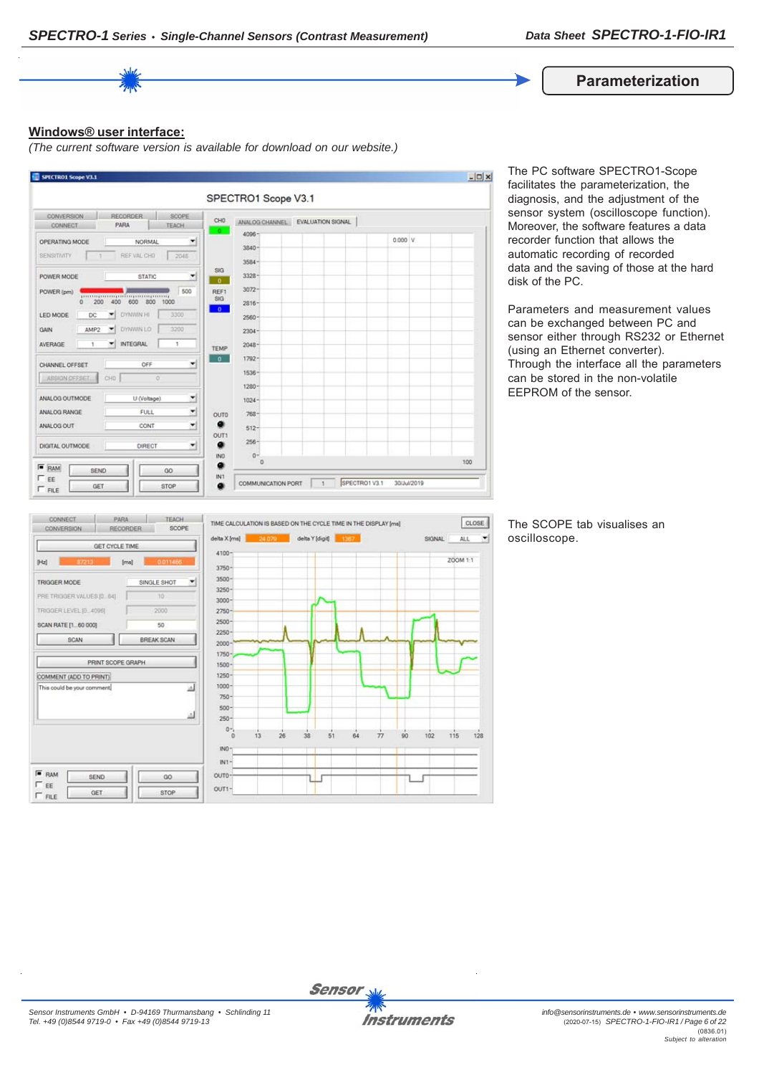

#### **Windows® user interface:**

*(The current software version is available for download on our website.)*



The PC software SPECTRO1-Scope facilitates the parameterization, the diagnosis, and the adjustment of the sensor system (oscilloscope function). Moreover, the software features a data recorder function that allows the automatic recording of recorded data and the saving of those at the hard disk of the PC.

Parameters and measurement values can be exchanged between PC and sensor either through RS232 or Ethernet (using an Ethernet converter). Through the interface all the parameters can be stored in the non-volatile EEPROM of the sensor.



The SCOPE tab visualises an oscilloscope.

CLOSE

 $128$ 

 $\left| \cdot \right|$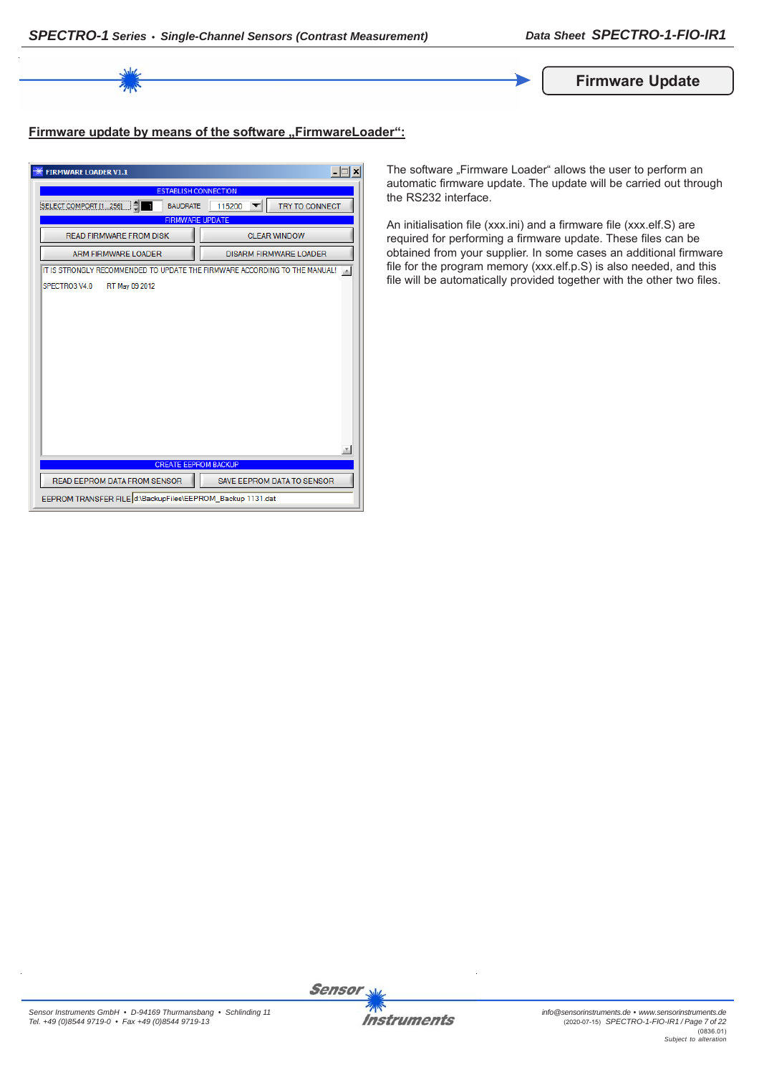

# Firmware update by means of the software "FirmwareLoader":

| <b>FIRMWARE LOADER V1.1</b>                                                | $ \Box$<br>×                    |  |
|----------------------------------------------------------------------------|---------------------------------|--|
| <b>ESTABLISH CONNECTION</b>                                                |                                 |  |
| <b>BAUDRATE</b><br>SELECT COMPORT [1256]                                   | <b>TRY TO CONNECT</b><br>115200 |  |
| <b>FIRMWARE UPDATE</b>                                                     |                                 |  |
| <b>READ FIRMWARE FROM DISK</b>                                             | <b>CLEAR WINDOW</b>             |  |
| <b>ARM FIRMWARE LOADER</b>                                                 | <b>DISARM FIRMWARE LOADER</b>   |  |
| IT IS STRONGLY RECOMMENDED TO UPDATE THE FIRMWARE ACCORDING TO THE MANUAL! |                                 |  |
| SPECTRO3 V4.0<br>RT May 09 2012                                            |                                 |  |
|                                                                            |                                 |  |
|                                                                            |                                 |  |
|                                                                            |                                 |  |
|                                                                            |                                 |  |
|                                                                            |                                 |  |
|                                                                            |                                 |  |
|                                                                            |                                 |  |
|                                                                            |                                 |  |
|                                                                            |                                 |  |
|                                                                            |                                 |  |
|                                                                            |                                 |  |
| <b>CREATE EEPROM BACKUP</b>                                                |                                 |  |
| READ EEPROM DATA FROM SENSOR                                               | SAVE EEPROM DATA TO SENSOR      |  |
| EEPROM TRANSFER FILE d:\BackupFiles\EEPROM_Backup 1131.dat                 |                                 |  |

The software "Firmware Loader" allows the user to perform an automatic firmware update. The update will be carried out through the RS232 interface.

An initialisation file (xxx.ini) and a firmware file (xxx.elf.S) are required for performing a firmware update. These files can be obtained from your supplier. In some cases an additional firmware file for the program memory (xxx.elf.p.S) is also needed, and this file will be automatically provided together with the other two files.





**Sensor**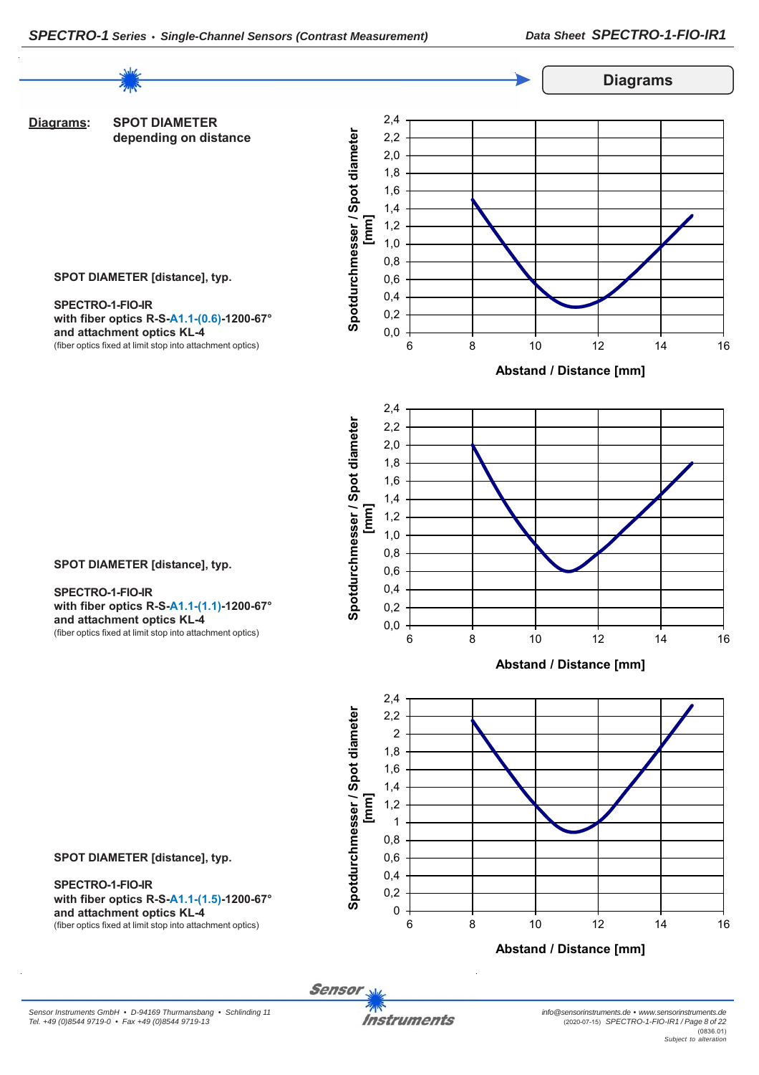

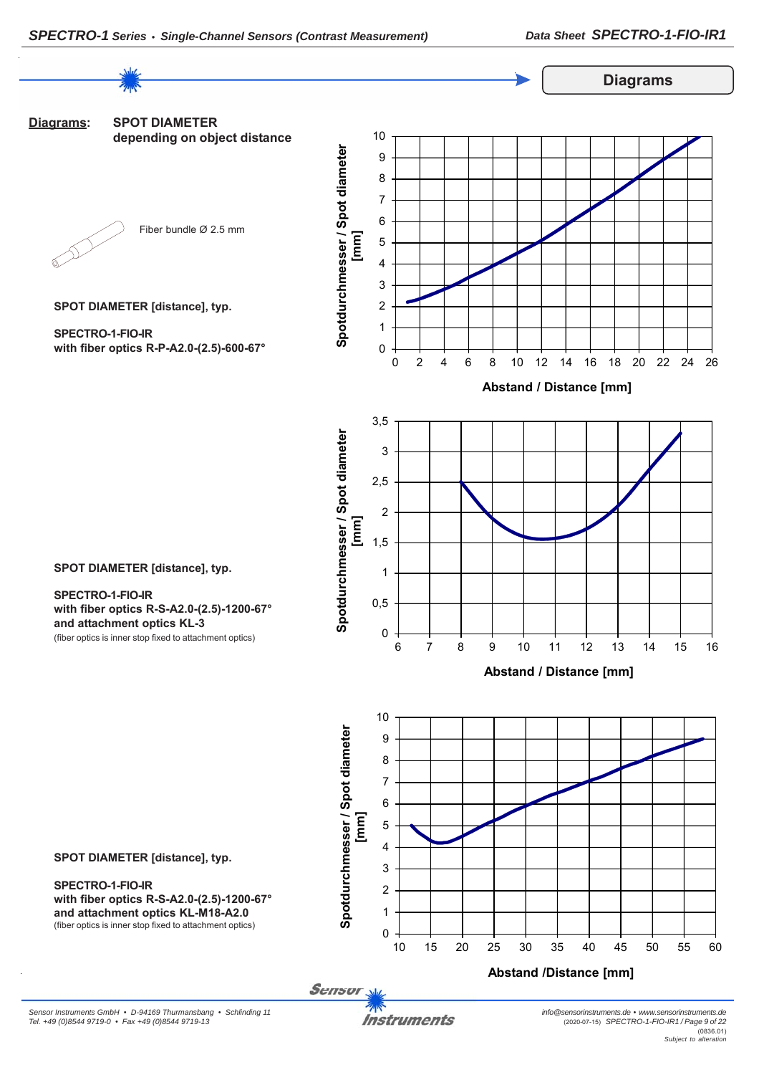

**Diagrams**

# **SPECTRO-1-FIO-IR**







**SPECTRO-1-FIO-IR with fiber optics R-S-A2.0-(2.5)-1200-67°**

**SPOT DIAMETER [distance], typ.**

**and attachment optics KL-3**

(fiber optics is inner stop fixed to attachment optics)



**SPECTRO-1-FIO-IR with fiber optics R-S-A2.0-(2.5)-1200-67° and attachment optics KL-M18-A2.0** (fiber optics is inner stop fixed to attachment optics)

Sensor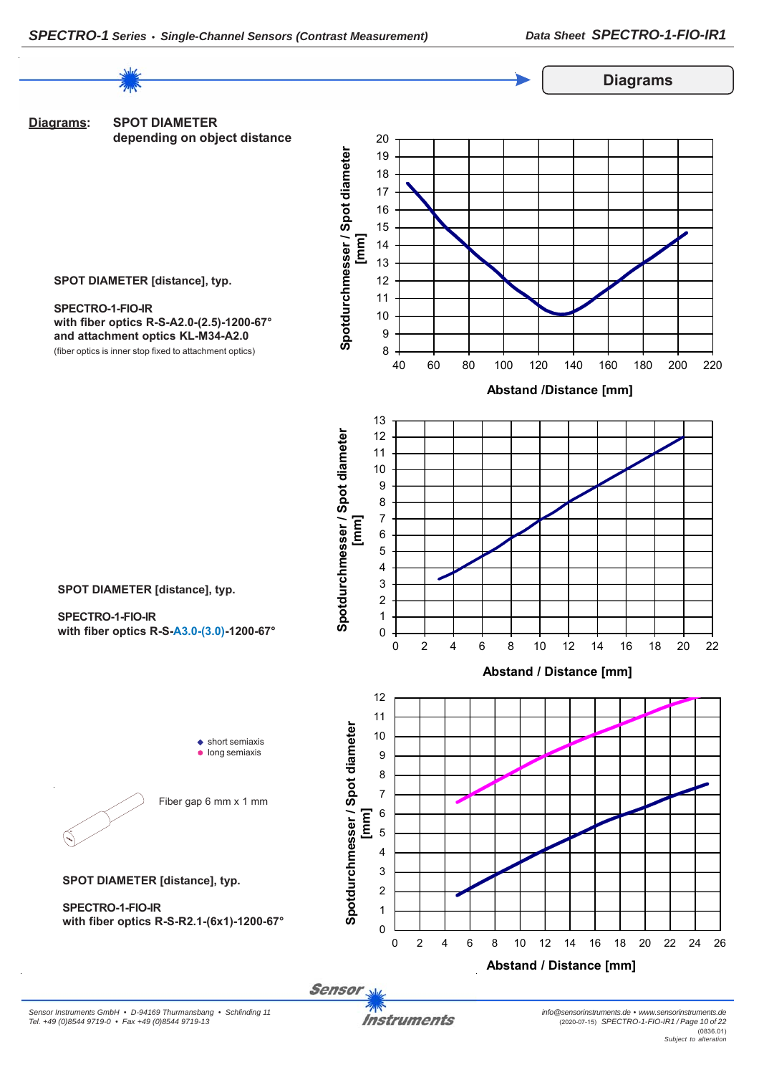

*Sensor Instruments GmbH • D-94169 Thurmansbang • Schlinding 11 Tel. +49 (0)8544 9719-0 • Fax +49 (0)8544 9719-13*

**Instruments**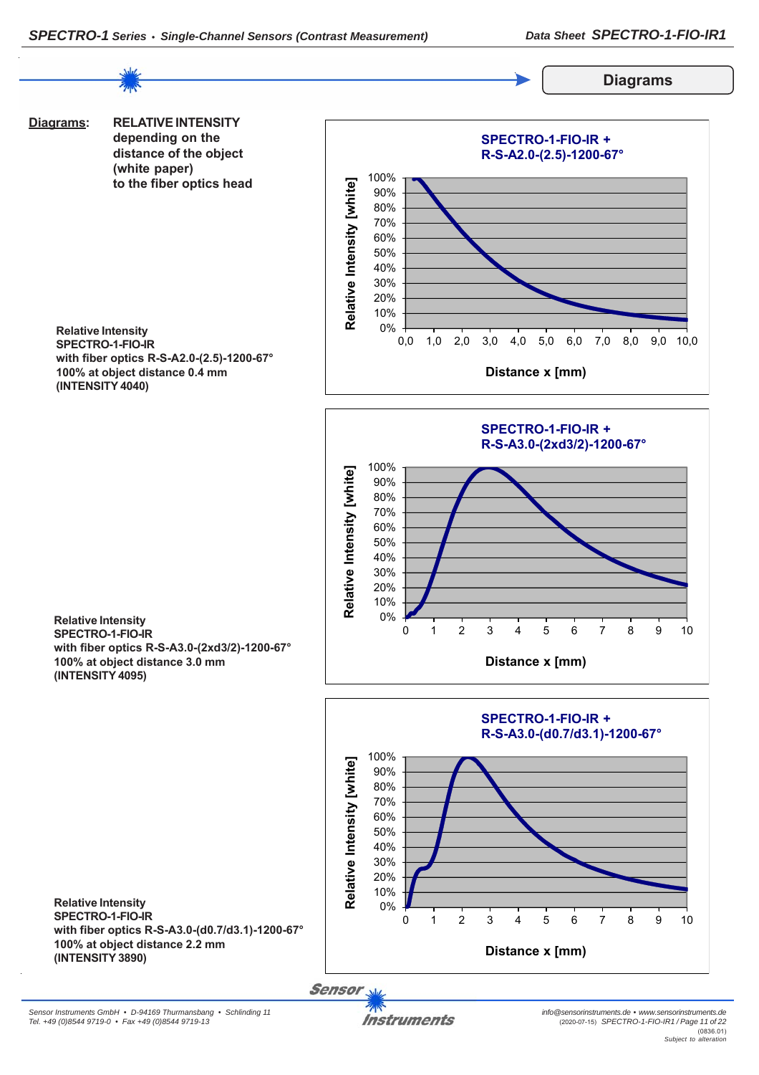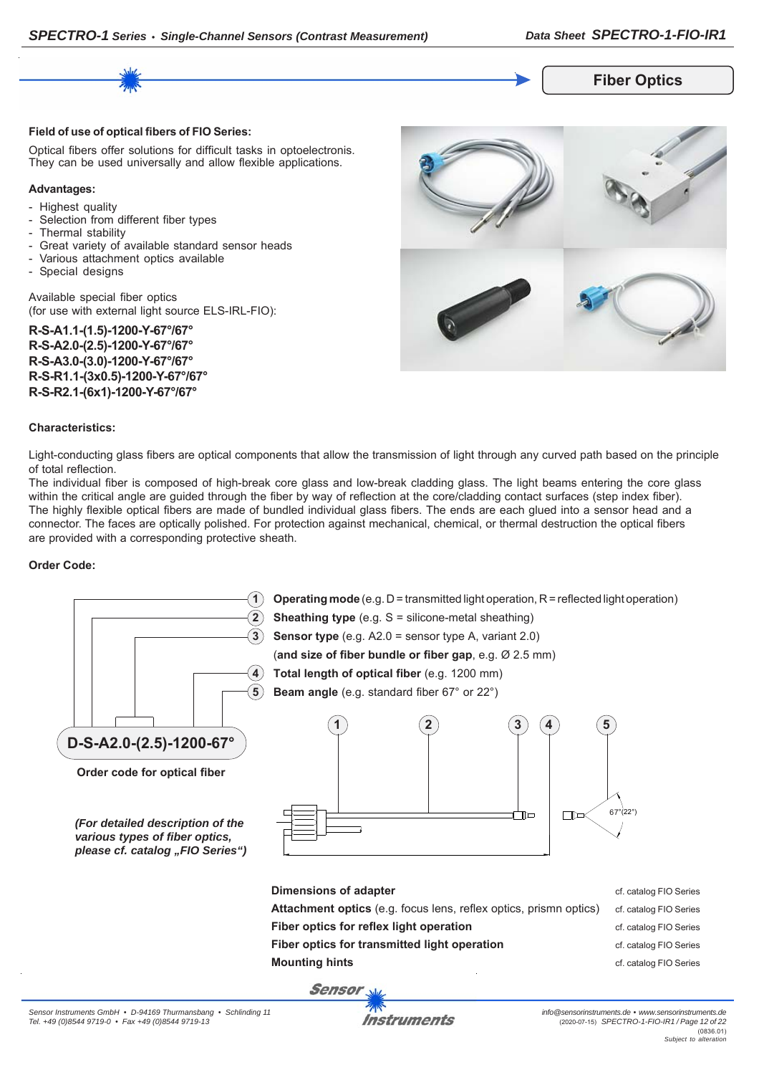

#### **Field of use of optical fibers of FIO Series:**

Optical fibers offer solutions for difficult tasks in optoelectronis. They can be used universally and allow flexible applications.

#### **Advantages:**

- Highest quality
- Selection from different fiber types
- Thermal stability
- Great variety of available standard sensor heads
- Various attachment optics available
- Special designs

Available special fiber optics (for use with external light source ELS-IRL-FIO):

**R-S-A1.1-(1.5)-1200-Y-67°/67° R-S-A2.0-(2.5)-1200-Y-67°/67° R-S-A3.0-(3.0)-1200-Y-67°/67° R-S-R1.1-(3x0.5)-1200-Y-67°/67° R-S-R2.1-(6x1)-1200-Y-67°/67°**

#### **Characteristics:**

Light-conducting glass fibers are optical components that allow the transmission of light through any curved path based on the principle of total reflection.

The individual fiber is composed of high-break core glass and low-break cladding glass. The light beams entering the core glass within the critical angle are guided through the fiber by way of reflection at the core/cladding contact surfaces (step index fiber). The highly flexible optical fibers are made of bundled individual glass fibers. The ends are each glued into a sensor head and a connector. The faces are optically polished. For protection against mechanical, chemical, or thermal destruction the optical fibers are provided with a corresponding protective sheath.

#### **Order Code:**







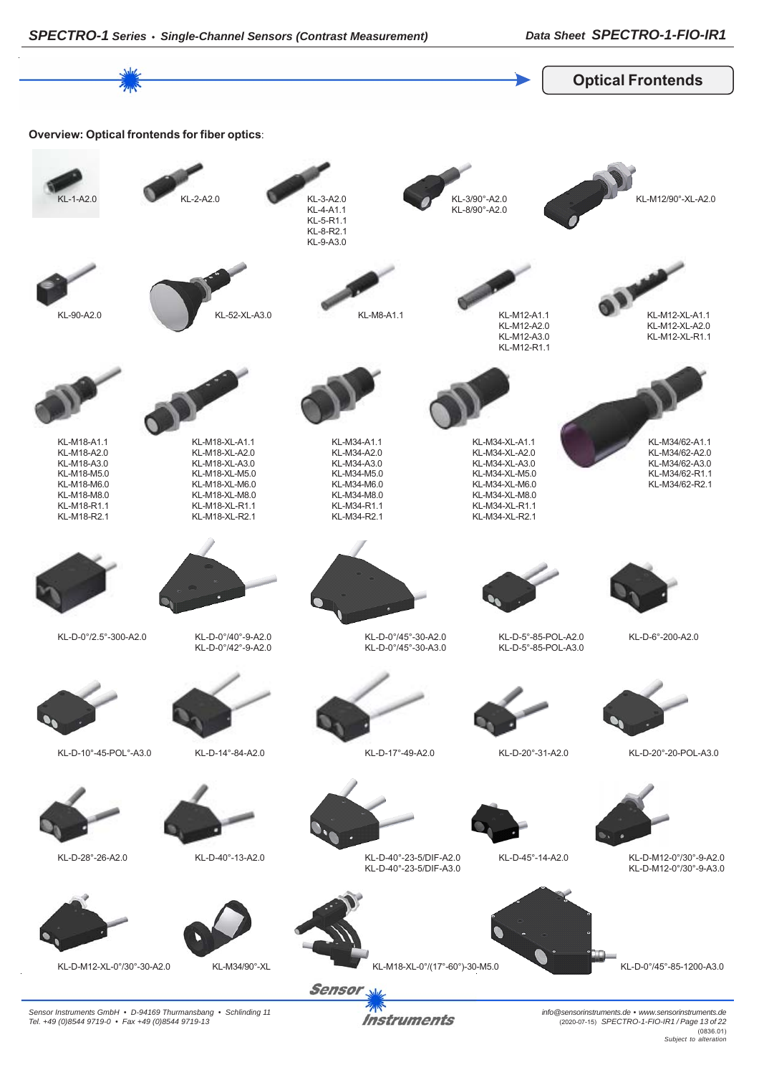

*Instruments* 

*Sensor Instruments GmbH • D-94169 Thurmansbang • Schlinding 11 Tel. +49 (0)8544 9719-0 • Fax +49 (0)8544 9719-13*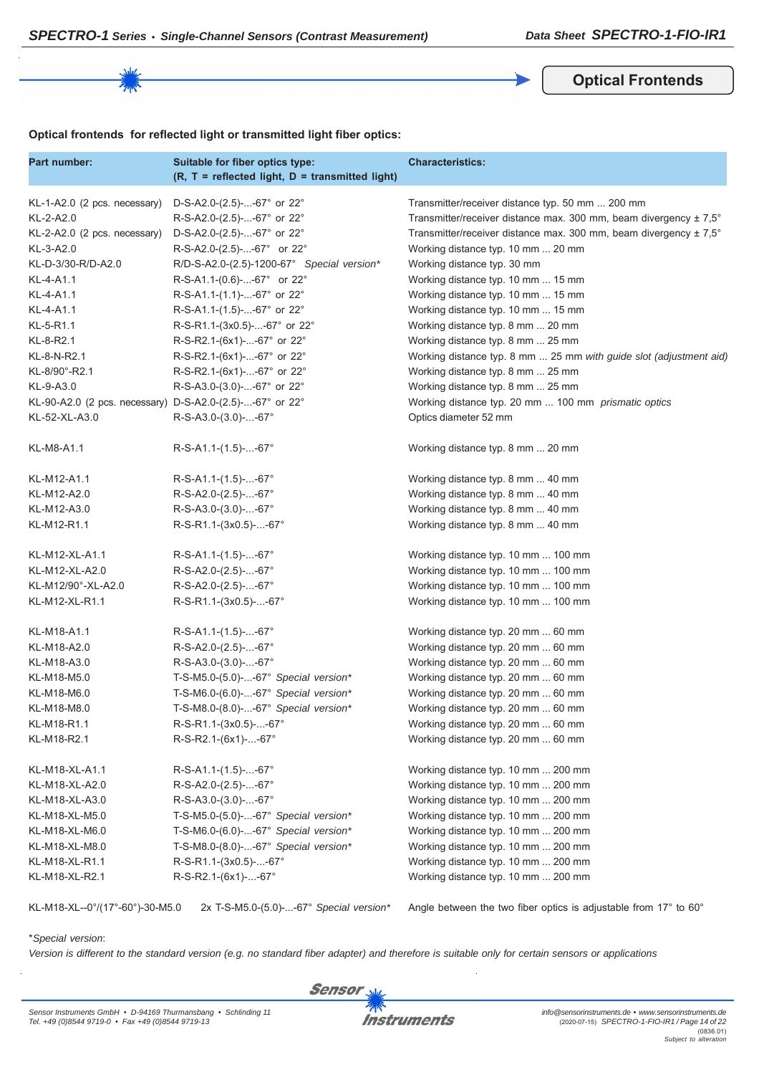**Optical Frontends**

### **Optical frontends for reflected light or transmitted light fiber optics:**

| Part number:                                             | Suitable for fiber optics type:<br>$(R, T = reflected light, D = transmitted light)$ | <b>Characteristics:</b>                                                      |
|----------------------------------------------------------|--------------------------------------------------------------------------------------|------------------------------------------------------------------------------|
| KL-1-A2.0 (2 pcs. necessary)                             | D-S-A2.0-(2.5)--67° or 22°                                                           | Transmitter/receiver distance typ. 50 mm  200 mm                             |
| KL-2-A2.0                                                | R-S-A2.0-(2.5)--67° or 22°                                                           | Transmitter/receiver distance max. 300 mm, beam divergency $\pm 7.5^{\circ}$ |
| KL-2-A2.0 (2 pcs. necessary)                             | D-S-A2.0-(2.5)--67° or 22°                                                           | Transmitter/receiver distance max. 300 mm, beam divergency ± 7,5°            |
| KL-3-A2.0                                                | R-S-A2.0-(2.5)--67° or 22°                                                           | Working distance typ. 10 mm  20 mm                                           |
| KL-D-3/30-R/D-A2.0                                       | R/D-S-A2.0-(2.5)-1200-67° Special version*                                           | Working distance typ. 30 mm                                                  |
| KL-4-A1.1                                                | $R-S-A1.1-(0.6)$ --67° or 22°                                                        | Working distance typ. 10 mm  15 mm                                           |
| KL-4-A1.1                                                | R-S-A1.1-(1.1)--67° or 22°                                                           | Working distance typ. 10 mm  15 mm                                           |
| KL-4-A1.1                                                | R-S-A1.1-(1.5)--67° or 22°                                                           | Working distance typ. 10 mm  15 mm                                           |
| KL-5-R1.1                                                | R-S-R1.1-(3x0.5)--67° or 22°                                                         | Working distance typ. 8 mm  20 mm                                            |
| KL-8-R2.1                                                | R-S-R2.1-(6x1)--67° or 22°                                                           | Working distance typ. 8 mm  25 mm                                            |
| KL-8-N-R2.1                                              | R-S-R2.1-(6x1)--67° or 22°                                                           | Working distance typ. 8 mm  25 mm with guide slot (adjustment aid)           |
| KL-8/90°-R2.1                                            | R-S-R2.1-(6x1)--67° or 22°                                                           | Working distance typ. 8 mm  25 mm                                            |
| KL-9-A3.0                                                | R-S-A3.0-(3.0)--67° or 22°                                                           | Working distance typ. 8 mm  25 mm                                            |
| KL-90-A2.0 (2 pcs. necessary) D-S-A2.0-(2.5)--67° or 22° |                                                                                      | Working distance typ. 20 mm  100 mm prismatic optics                         |
| KL-52-XL-A3.0                                            | R-S-A3.0-(3.0)--67°                                                                  | Optics diameter 52 mm                                                        |
| KL-M8-A1.1                                               | $R-S-A1.1-(1.5)$ --67°                                                               | Working distance typ. 8 mm  20 mm                                            |
| KL-M12-A1.1                                              | $R-S-A1.1-(1.5)$ --67°                                                               | Working distance typ. 8 mm  40 mm                                            |
| KL-M12-A2.0                                              | $R-S-A2.0-(2.5)--67^{\circ}$                                                         | Working distance typ. 8 mm  40 mm                                            |
| KL-M12-A3.0                                              | $R-S-A3.0-(3.0)$ --67°                                                               | Working distance typ. 8 mm  40 mm                                            |
| KL-M12-R1.1                                              | R-S-R1.1-(3x0.5)--67°                                                                | Working distance typ. 8 mm  40 mm                                            |
| KL-M12-XL-A1.1                                           | $R-S-A1.1-(1.5)$ --67°                                                               | Working distance typ. 10 mm  100 mm                                          |
| KL-M12-XL-A2.0                                           | $R-S-A2.0-(2.5)--67^{\circ}$                                                         | Working distance typ. 10 mm  100 mm                                          |
| KL-M12/90°-XL-A2.0                                       | $R-S-A2.0-(2.5)--67^{\circ}$                                                         | Working distance typ. 10 mm  100 mm                                          |
| KL-M12-XL-R1.1                                           | R-S-R1.1-(3x0.5)--67°                                                                | Working distance typ. 10 mm  100 mm                                          |
| KL-M18-A1.1                                              | $R-S-A1.1-(1.5)$ --67°                                                               | Working distance typ. 20 mm  60 mm                                           |
| KL-M18-A2.0                                              | R-S-A2.0-(2.5)--67°                                                                  | Working distance typ. 20 mm  60 mm                                           |
| KL-M18-A3.0                                              | R-S-A3.0-(3.0)--67°                                                                  | Working distance typ. 20 mm  60 mm                                           |
| KL-M18-M5.0                                              | T-S-M5.0-(5.0)--67° Special version*                                                 | Working distance typ. 20 mm  60 mm                                           |
| KL-M18-M6.0                                              | T-S-M6.0-(6.0)--67° Special version*                                                 | Working distance typ. 20 mm  60 mm                                           |
| KL-M18-M8.0                                              | T-S-M8.0-(8.0)--67° Special version*                                                 | Working distance typ. 20 mm  60 mm                                           |
| KL-M18-R1.1                                              | R-S-R1.1-(3x0.5)--67°                                                                | Working distance typ. 20 mm  60 mm                                           |
| KL-M18-R2.1                                              | R-S-R2.1-(6x1)--67°                                                                  | Working distance typ. 20 mm  60 mm                                           |
| KL-M18-XL-A1.1                                           | R-S-A1.1-(1.5)--67°                                                                  | Working distance typ. 10 mm  200 mm                                          |
| KL-M18-XL-A2.0                                           | R-S-A2.0-(2.5)--67°                                                                  | Working distance typ. 10 mm  200 mm                                          |
| KL-M18-XL-A3.0                                           | R-S-A3.0-(3.0)--67°                                                                  | Working distance typ. 10 mm  200 mm                                          |
| KL-M18-XL-M5.0                                           | T-S-M5.0-(5.0)--67° Special version*                                                 | Working distance typ. 10 mm  200 mm                                          |
| KL-M18-XL-M6.0                                           | T-S-M6.0-(6.0)--67° Special version*                                                 | Working distance typ. 10 mm  200 mm                                          |
| KL-M18-XL-M8.0                                           | T-S-M8.0-(8.0)--67° Special version*                                                 | Working distance typ. 10 mm  200 mm                                          |
| KL-M18-XL-R1.1                                           | R-S-R1.1-(3x0.5)--67°                                                                | Working distance typ. 10 mm  200 mm                                          |
| KL-M18-XL-R2.1                                           | R-S-R2.1-(6x1)--67°                                                                  | Working distance typ. 10 mm  200 mm                                          |

KL-M18-XL--0°/(17°-60°)-30-M5.0 2x T-S-M5.0-(5.0)-...-67° *Special version\** Angle between the two fiber optics is adjustable from 17° to 60°

#### \**Special version*:

*Version is different to the standard version (e.g. no standard fiber adapter) and therefore is suitable only for certain sensors or applications*

**Sensor**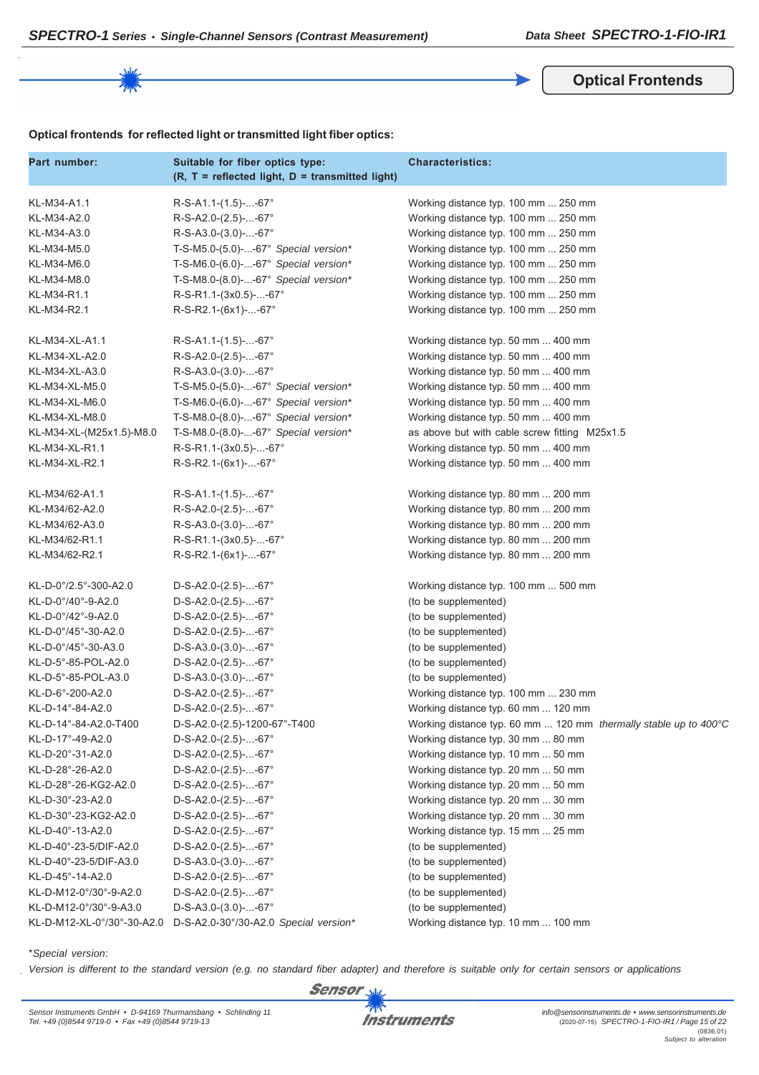**Optical Frontends**

| Part number:               | Suitable for fiber optics type:<br>$(R, T = reflected light, D = transmitted light)$ | <b>Characteristics:</b>                                          |
|----------------------------|--------------------------------------------------------------------------------------|------------------------------------------------------------------|
| KL-M34-A1.1                | $R-S-A1.1-(1.5)$ --67°                                                               | Working distance typ. 100 mm  250 mm                             |
| KL-M34-A2.0                | $R-S-A2.0-(2.5)--67^{\circ}$                                                         | Working distance typ. 100 mm  250 mm                             |
| KL-M34-A3.0                | $R-S-A3.0-(3.0)$ --67°                                                               | Working distance typ. 100 mm  250 mm                             |
| KL-M34-M5.0                | T-S-M5.0-(5.0)--67° Special version*                                                 | Working distance typ. 100 mm  250 mm                             |
| KL-M34-M6.0                | T-S-M6.0-(6.0)--67° Special version*                                                 | Working distance typ. 100 mm  250 mm                             |
| KL-M34-M8.0                | T-S-M8.0-(8.0)--67° Special version*                                                 | Working distance typ. 100 mm  250 mm                             |
| KL-M34-R1.1                | R-S-R1.1-(3x0.5)--67°                                                                | Working distance typ. 100 mm  250 mm                             |
| KL-M34-R2.1                | R-S-R2.1-(6x1)--67°                                                                  | Working distance typ. 100 mm  250 mm                             |
| KL-M34-XL-A1.1             | $R-S-A1.1-(1.5)$ --67°                                                               | Working distance typ. 50 mm  400 mm                              |
| KL-M34-XL-A2.0             | $R-S-A2.0-(2.5)--67^{\circ}$                                                         | Working distance typ. 50 mm  400 mm                              |
| KL-M34-XL-A3.0             | $R-S-A3.0-(3.0)$ --67°                                                               | Working distance typ. 50 mm  400 mm                              |
| KL-M34-XL-M5.0             | T-S-M5.0-(5.0)--67° Special version*                                                 | Working distance typ. 50 mm  400 mm                              |
| KL-M34-XL-M6.0             | T-S-M6.0-(6.0)--67° Special version*                                                 | Working distance typ. 50 mm  400 mm                              |
| KL-M34-XL-M8.0             | T-S-M8.0-(8.0)--67° Special version*                                                 | Working distance typ. 50 mm  400 mm                              |
| KL-M34-XL-(M25x1.5)-M8.0   | T-S-M8.0-(8.0)--67° Special version*                                                 | as above but with cable screw fitting M25x1.5                    |
| KL-M34-XL-R1.1             | R-S-R1.1-(3x0.5)--67°                                                                | Working distance typ. 50 mm  400 mm                              |
| KL-M34-XL-R2.1             | R-S-R2.1-(6x1)--67°                                                                  | Working distance typ. 50 mm  400 mm                              |
| KL-M34/62-A1.1             | $R-S-A1.1-(1.5)$ --67°                                                               | Working distance typ. 80 mm  200 mm                              |
| KL-M34/62-A2.0             | $R-S-A2.0-(2.5)--67^{\circ}$                                                         | Working distance typ. 80 mm  200 mm                              |
| KL-M34/62-A3.0             | $R-S-A3.0-(3.0)$ --67°                                                               | Working distance typ. 80 mm  200 mm                              |
| KL-M34/62-R1.1             | R-S-R1.1-(3x0.5)--67°                                                                | Working distance typ. 80 mm  200 mm                              |
| KL-M34/62-R2.1             | R-S-R2.1-(6x1)--67°                                                                  | Working distance typ. 80 mm  200 mm                              |
| KL-D-0°/2.5°-300-A2.0      | $D-S-A2.0-(2.5)$ --67°                                                               | Working distance typ. 100 mm  500 mm                             |
| KL-D-0°/40°-9-A2.0         | D-S-A2.0-(2.5)--67°                                                                  | (to be supplemented)                                             |
| KL-D-0°/42°-9-A2.0         | $D-S-A2.0-(2.5)$ --67°                                                               | (to be supplemented)                                             |
| KL-D-0°/45°-30-A2.0        | $D-S-A2.0-(2.5)$ --67°                                                               | (to be supplemented)                                             |
| KL-D-0°/45°-30-A3.0        | $D-S-A3.0-(3.0)$ --67°                                                               | (to be supplemented)                                             |
| KL-D-5°-85-POL-A2.0        | D-S-A2.0-(2.5)--67°                                                                  | (to be supplemented)                                             |
| KL-D-5°-85-POL-A3.0        | $D-S-A3.0-(3.0)$ --67°                                                               | (to be supplemented)                                             |
| KL-D-6°-200-A2.0           | $D-S-A2.0-(2.5)$ --67°                                                               | Working distance typ. 100 mm  230 mm                             |
| KL-D-14°-84-A2.0           | $D-S-A2.0-(2.5)$ --67°                                                               | Working distance typ. 60 mm  120 mm                              |
| KL-D-14°-84-A2.0-T400      | D-S-A2.0-(2.5)-1200-67°-T400                                                         | Working distance typ. 60 mm  120 mm thermally stable up to 400°C |
| KL-D-17°-49-A2.0           | $D-S-A2.0-(2.5)$ --67°                                                               | Working distance typ. 30 mm  80 mm                               |
| KL-D-20°-31-A2.0           | $D-S-A2.0-(2.5)--67°$                                                                | Working distance typ. 10 mm  50 mm                               |
| KL-D-28°-26-A2.0           | D-S-A2.0-(2.5)--67°                                                                  | Working distance typ. 20 mm  50 mm                               |
| KL-D-28°-26-KG2-A2.0       | D-S-A2.0-(2.5)--67°                                                                  | Working distance typ. 20 mm  50 mm                               |
| KL-D-30°-23-A2.0           | D-S-A2.0-(2.5)--67°                                                                  | Working distance typ. 20 mm  30 mm                               |
| KL-D-30°-23-KG2-A2.0       | D-S-A2.0-(2.5)--67°                                                                  | Working distance typ. 20 mm  30 mm                               |
| KL-D-40°-13-A2.0           | D-S-A2.0-(2.5)--67°                                                                  | Working distance typ. 15 mm  25 mm                               |
| KL-D-40°-23-5/DIF-A2.0     | D-S-A2.0-(2.5)--67°                                                                  | (to be supplemented)                                             |
| KL-D-40°-23-5/DIF-A3.0     | $D-S-A3.0-(3.0)$ --67°                                                               | (to be supplemented)                                             |
| KL-D-45°-14-A2.0           | D-S-A2.0-(2.5)--67°                                                                  | (to be supplemented)                                             |
| KL-D-M12-0°/30°-9-A2.0     | D-S-A2.0-(2.5)--67°                                                                  | (to be supplemented)                                             |
| KL-D-M12-0°/30°-9-A3.0     | D-S-A3.0-(3.0)--67°                                                                  | (to be supplemented)                                             |
| KL-D-M12-XL-0°/30°-30-A2.0 | D-S-A2.0-30°/30-A2.0 Special version*                                                | Working distance typ. 10 mm  100 mm                              |

\**Special version*:

*Version is different to the standard version (e.g. no standard fiber adapter) and therefore is suitable only for certain sensors or applications*



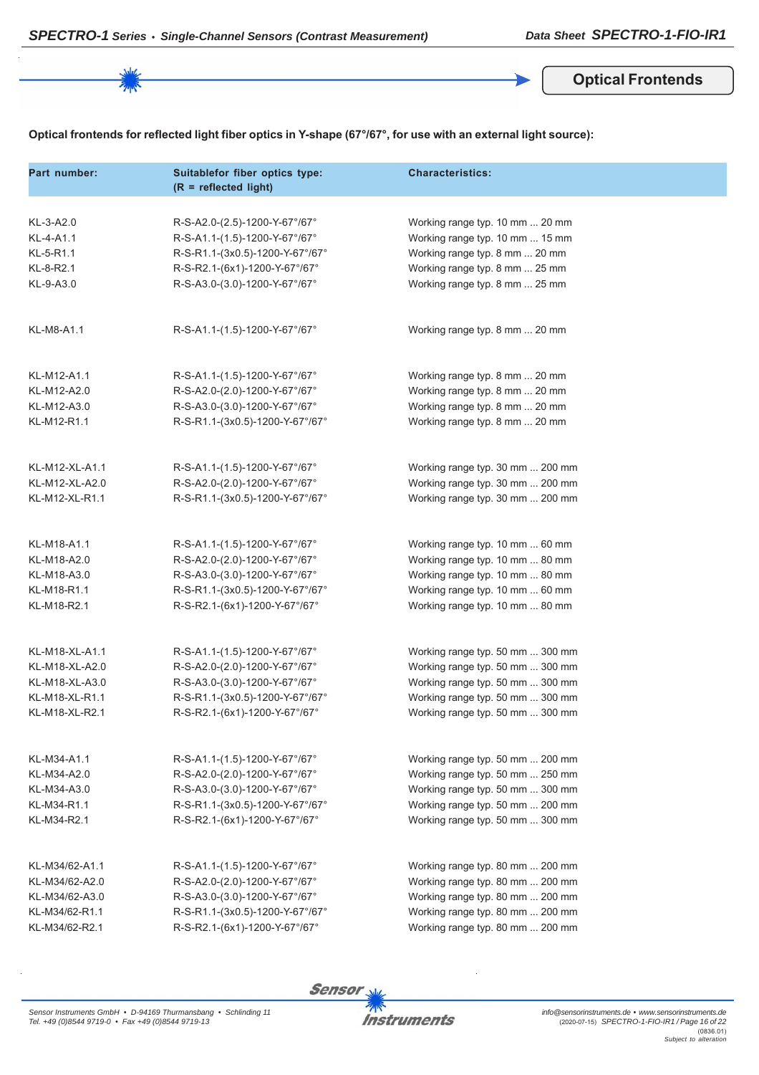**Optical Frontends**

#### **Optical frontends for reflected light fiber optics in Y-shape (67°/67°, for use with an external light source):**

| Part number:   | Suitablefor fiber optics type:<br>$(R = reflected light)$ | <b>Characteristics:</b>          |  |
|----------------|-----------------------------------------------------------|----------------------------------|--|
|                |                                                           |                                  |  |
| KL-3-A2.0      | R-S-A2.0-(2.5)-1200-Y-67°/67°                             | Working range typ. 10 mm  20 mm  |  |
| KL-4-A1.1      | R-S-A1.1-(1.5)-1200-Y-67°/67°                             | Working range typ. 10 mm  15 mm  |  |
| KL-5-R1.1      | R-S-R1.1-(3x0.5)-1200-Y-67°/67°                           | Working range typ. 8 mm  20 mm   |  |
| KL-8-R2.1      | R-S-R2.1-(6x1)-1200-Y-67°/67°                             | Working range typ. 8 mm  25 mm   |  |
| KL-9-A3.0      | R-S-A3.0-(3.0)-1200-Y-67°/67°                             | Working range typ. 8 mm  25 mm   |  |
| KL-M8-A1.1     | R-S-A1.1-(1.5)-1200-Y-67°/67°                             | Working range typ. 8 mm  20 mm   |  |
| KL-M12-A1.1    | R-S-A1.1-(1.5)-1200-Y-67°/67°                             | Working range typ. 8 mm  20 mm   |  |
| KL-M12-A2.0    | R-S-A2.0-(2.0)-1200-Y-67°/67°                             | Working range typ. 8 mm  20 mm   |  |
| KL-M12-A3.0    | R-S-A3.0-(3.0)-1200-Y-67°/67°                             | Working range typ. 8 mm  20 mm   |  |
| KL-M12-R1.1    | R-S-R1.1-(3x0.5)-1200-Y-67°/67°                           | Working range typ. 8 mm  20 mm   |  |
| KL-M12-XL-A1.1 | R-S-A1.1-(1.5)-1200-Y-67°/67°                             | Working range typ. 30 mm  200 mm |  |
| KL-M12-XL-A2.0 | R-S-A2.0-(2.0)-1200-Y-67°/67°                             | Working range typ. 30 mm  200 mm |  |
| KL-M12-XL-R1.1 | R-S-R1.1-(3x0.5)-1200-Y-67°/67°                           | Working range typ. 30 mm  200 mm |  |
| KL-M18-A1.1    | R-S-A1.1-(1.5)-1200-Y-67°/67°                             | Working range typ. 10 mm  60 mm  |  |
| KL-M18-A2.0    | R-S-A2.0-(2.0)-1200-Y-67°/67°                             | Working range typ. 10 mm  80 mm  |  |
| KL-M18-A3.0    | R-S-A3.0-(3.0)-1200-Y-67°/67°                             | Working range typ. 10 mm  80 mm  |  |
| KL-M18-R1.1    | R-S-R1.1-(3x0.5)-1200-Y-67°/67°                           | Working range typ. 10 mm  60 mm  |  |
| KL-M18-R2.1    | R-S-R2.1-(6x1)-1200-Y-67°/67°                             | Working range typ. 10 mm  80 mm  |  |
| KL-M18-XL-A1.1 | R-S-A1.1-(1.5)-1200-Y-67°/67°                             | Working range typ. 50 mm  300 mm |  |
| KL-M18-XL-A2.0 | R-S-A2.0-(2.0)-1200-Y-67°/67°                             | Working range typ. 50 mm  300 mm |  |
| KL-M18-XL-A3.0 | R-S-A3.0-(3.0)-1200-Y-67°/67°                             | Working range typ. 50 mm  300 mm |  |
| KL-M18-XL-R1.1 | R-S-R1.1-(3x0.5)-1200-Y-67°/67°                           | Working range typ. 50 mm  300 mm |  |
| KL-M18-XL-R2.1 | R-S-R2.1-(6x1)-1200-Y-67°/67°                             | Working range typ. 50 mm  300 mm |  |
| KL-M34-A1.1    | R-S-A1.1-(1.5)-1200-Y-67°/67°                             | Working range typ. 50 mm  200 mm |  |
| KL-M34-A2.0    | R-S-A2.0-(2.0)-1200-Y-67°/67°                             | Working range typ. 50 mm  250 mm |  |
| KL-M34-A3.0    | R-S-A3.0-(3.0)-1200-Y-67°/67°                             | Working range typ. 50 mm  300 mm |  |
| KL-M34-R1.1    | R-S-R1.1-(3x0.5)-1200-Y-67°/67°                           | Working range typ. 50 mm  200 mm |  |
| KL-M34-R2.1    | R-S-R2.1-(6x1)-1200-Y-67°/67°                             | Working range typ. 50 mm  300 mm |  |
| KL-M34/62-A1.1 | R-S-A1.1-(1.5)-1200-Y-67°/67°                             | Working range typ. 80 mm  200 mm |  |
| KL-M34/62-A2.0 | R-S-A2.0-(2.0)-1200-Y-67°/67°                             | Working range typ. 80 mm  200 mm |  |
| KL-M34/62-A3.0 | R-S-A3.0-(3.0)-1200-Y-67°/67°                             | Working range typ. 80 mm  200 mm |  |
| KL-M34/62-R1.1 | R-S-R1.1-(3x0.5)-1200-Y-67°/67°                           | Working range typ. 80 mm  200 mm |  |
| KL-M34/62-R2.1 | R-S-R2.1-(6x1)-1200-Y-67°/67°                             | Working range typ. 80 mm  200 mm |  |

Sensor<sub>N</sub>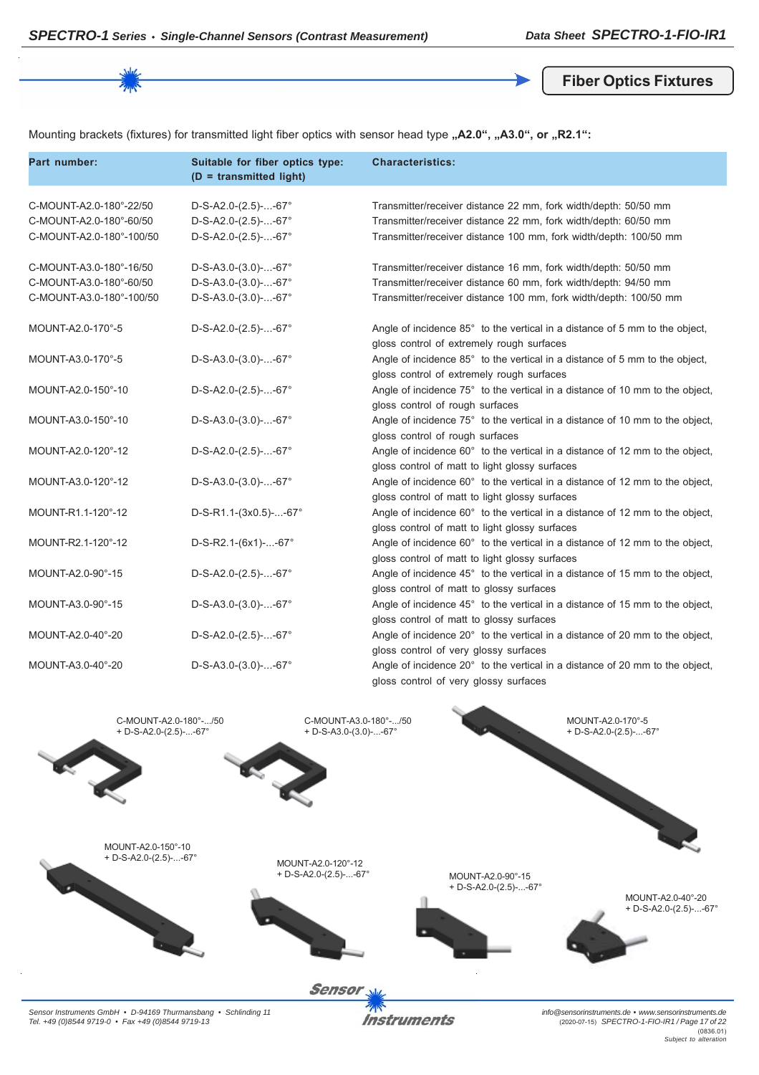**Fiber Optics Fixtures**

Mounting brackets (fixtures) for transmitted light fiber optics with sensor head type "A2.0", "A3.0", or "R2.1":

| Part number:                                                                   | Suitable for fiber optics type:<br>$(D = transmitted light)$                     | <b>Characteristics:</b>                                                                                                                                                                                 |
|--------------------------------------------------------------------------------|----------------------------------------------------------------------------------|---------------------------------------------------------------------------------------------------------------------------------------------------------------------------------------------------------|
| C-MOUNT-A2.0-180°-22/50<br>C-MOUNT-A2.0-180°-60/50<br>C-MOUNT-A2.0-180°-100/50 | $D-S-A2.0-(2.5)--67^{\circ}$<br>$D-S-A2.0-(2.5)$ --67°<br>$D-S-A2.0-(2.5)$ --67° | Transmitter/receiver distance 22 mm, fork width/depth: 50/50 mm<br>Transmitter/receiver distance 22 mm, fork width/depth: 60/50 mm<br>Transmitter/receiver distance 100 mm, fork width/depth: 100/50 mm |
| C-MOUNT-A3.0-180°-16/50<br>C-MOUNT-A3.0-180°-60/50<br>C-MOUNT-A3.0-180°-100/50 | $D-S-A3.0-(3.0)$ --67°<br>$D-S-A3.0-(3.0)$ --67°<br>$D-S-A3.0-(3.0)$ --67°       | Transmitter/receiver distance 16 mm, fork width/depth: 50/50 mm<br>Transmitter/receiver distance 60 mm, fork width/depth: 94/50 mm<br>Transmitter/receiver distance 100 mm, fork width/depth: 100/50 mm |
| MOUNT-A2.0-170°-5                                                              | $D-S-A2.0-(2.5)$ --67°                                                           | Angle of incidence 85° to the vertical in a distance of 5 mm to the object,<br>gloss control of extremely rough surfaces                                                                                |
| MOUNT-A3.0-170°-5                                                              | $D-S-A3.0-(3.0)$ --67°                                                           | Angle of incidence 85° to the vertical in a distance of 5 mm to the object,<br>gloss control of extremely rough surfaces                                                                                |
| MOUNT-A2.0-150°-10                                                             | $D-S-A2.0-(2.5)$ --67°                                                           | Angle of incidence 75° to the vertical in a distance of 10 mm to the object,<br>gloss control of rough surfaces                                                                                         |
| MOUNT-A3.0-150°-10                                                             | $D-S-A3.0-(3.0)$ --67°                                                           | Angle of incidence 75° to the vertical in a distance of 10 mm to the object,<br>gloss control of rough surfaces                                                                                         |
| MOUNT-A2.0-120°-12                                                             | $D-S-A2.0-(2.5)$ --67°                                                           | Angle of incidence 60° to the vertical in a distance of 12 mm to the object,<br>gloss control of matt to light glossy surfaces                                                                          |
| MOUNT-A3.0-120°-12                                                             | $D-S-A3.0-(3.0)$ --67°                                                           | Angle of incidence 60° to the vertical in a distance of 12 mm to the object,<br>gloss control of matt to light glossy surfaces                                                                          |
| MOUNT-R1.1-120°-12                                                             | D-S-R1.1-(3x0.5)--67°                                                            | Angle of incidence 60° to the vertical in a distance of 12 mm to the object,<br>gloss control of matt to light glossy surfaces                                                                          |
| MOUNT-R2.1-120°-12                                                             | $D-S-R2.1-(6x1)$ --67°                                                           | Angle of incidence 60° to the vertical in a distance of 12 mm to the object,<br>gloss control of matt to light glossy surfaces                                                                          |
| MOUNT-A2.0-90°-15                                                              | $D-S-A2.0-(2.5)$ --67°                                                           | Angle of incidence 45° to the vertical in a distance of 15 mm to the object,<br>gloss control of matt to glossy surfaces                                                                                |
| MOUNT-A3.0-90°-15                                                              | $D-S-A3.0-(3.0)$ --67°                                                           | Angle of incidence 45° to the vertical in a distance of 15 mm to the object,<br>gloss control of matt to glossy surfaces                                                                                |
| MOUNT-A2.0-40°-20                                                              | $D-S-A2.0-(2.5)$ --67°                                                           | Angle of incidence 20° to the vertical in a distance of 20 mm to the object,<br>gloss control of very glossy surfaces                                                                                   |
| MOUNT-A3.0-40°-20                                                              | $D-S-A3.0-(3.0)$ --67°                                                           | Angle of incidence 20° to the vertical in a distance of 20 mm to the object,<br>gloss control of very glossy surfaces                                                                                   |



*Sensor Instruments GmbH • D-94169 Thurmansbang • Schlinding 11 Tel. +49 (0)8544 9719-0 • Fax +49 (0)8544 9719-13*

**Instruments** 

*info@sensorinstruments.de • www.sensorinstruments.de* (2020-07-15) *SPECTRO-1-FIO-IR1 / Page 17 of 22* (0836.01) *Subject to alteration*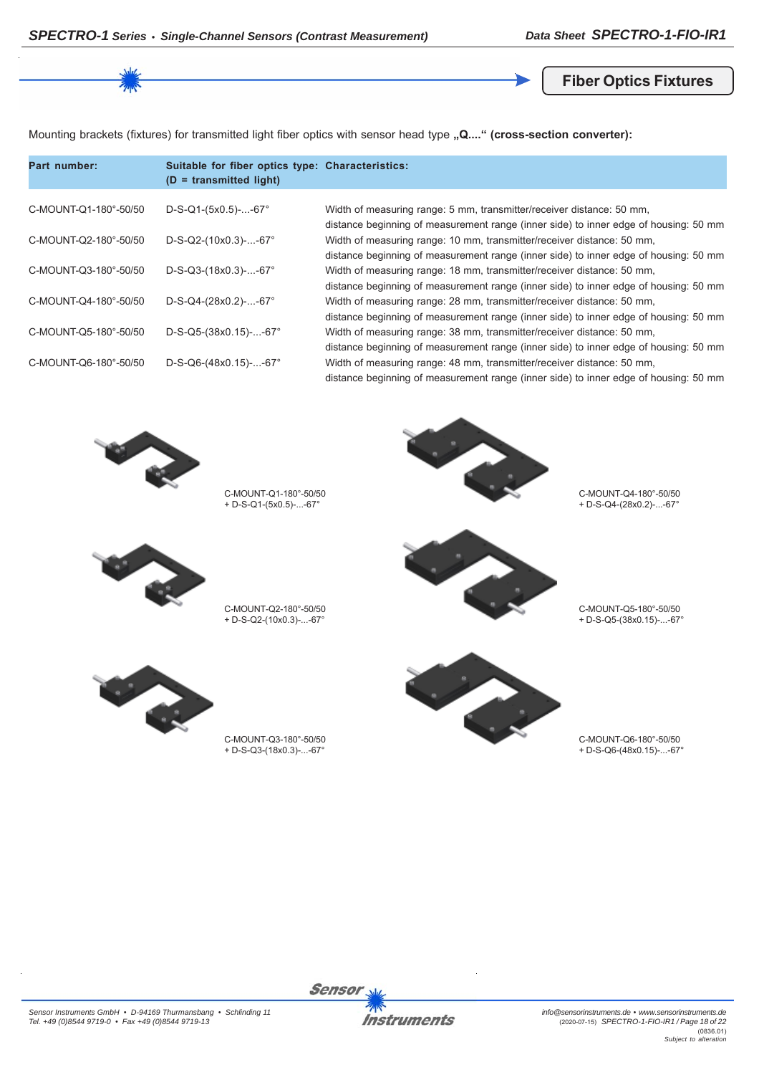**Fiber Optics Fixtures**

Mounting brackets (fixtures) for transmitted light fiber optics with sensor head type "Q...." (cross-section converter):

| Part number:          | Suitable for fiber optics type: Characteristics:<br>$(D =$ transmitted light) |                                                                                      |
|-----------------------|-------------------------------------------------------------------------------|--------------------------------------------------------------------------------------|
| C-MOUNT-Q1-180°-50/50 | $D-S-Q1-(5x0.5)$ --67°                                                        | Width of measuring range: 5 mm, transmitter/receiver distance: 50 mm,                |
|                       |                                                                               | distance beginning of measurement range (inner side) to inner edge of housing: 50 mm |
| C-MOUNT-Q2-180°-50/50 | $D-S-Q2-(10x0.3)$ --67°                                                       | Width of measuring range: 10 mm, transmitter/receiver distance: 50 mm,               |
|                       |                                                                               | distance beginning of measurement range (inner side) to inner edge of housing: 50 mm |
| C-MOUNT-Q3-180°-50/50 | $D-S-Q3-(18x0.3)$ --67°                                                       | Width of measuring range: 18 mm, transmitter/receiver distance: 50 mm,               |
|                       |                                                                               | distance beginning of measurement range (inner side) to inner edge of housing: 50 mm |
| C-MOUNT-Q4-180°-50/50 | $D-S-Q4-(28x0.2)$ --67°                                                       | Width of measuring range: 28 mm, transmitter/receiver distance: 50 mm,               |
|                       |                                                                               | distance beginning of measurement range (inner side) to inner edge of housing: 50 mm |
| C-MOUNT-Q5-180°-50/50 | D-S-Q5-(38x0.15)--67°                                                         | Width of measuring range: 38 mm, transmitter/receiver distance: 50 mm,               |
|                       |                                                                               | distance beginning of measurement range (inner side) to inner edge of housing: 50 mm |
| C-MOUNT-Q6-180°-50/50 | D-S-Q6-(48x0.15)--67°                                                         | Width of measuring range: 48 mm, transmitter/receiver distance: 50 mm,               |
|                       |                                                                               | distance beginning of measurement range (inner side) to inner edge of housing: 50 mm |



C-MOUNT-Q1-180°-50/50 + D-S-Q1-(5x0.5)-...-67°



C-MOUNT-Q4-180°-50/50 + D-S-Q4-(28x0.2)-...-67°



C-MOUNT-Q2-180°-50/50 + D-S-Q2-(10x0.3)-...-67°



C-MOUNT-Q5-180°-50/50 + D-S-Q5-(38x0.15)-...-67°

C-MOUNT-Q6-180°-50/50 + D-S-Q6-(48x0.15)-...-67°



C-MOUNT-Q3-180°-50/50  $+$  D-S-Q3-(18x0.3)-...-67°





Sensor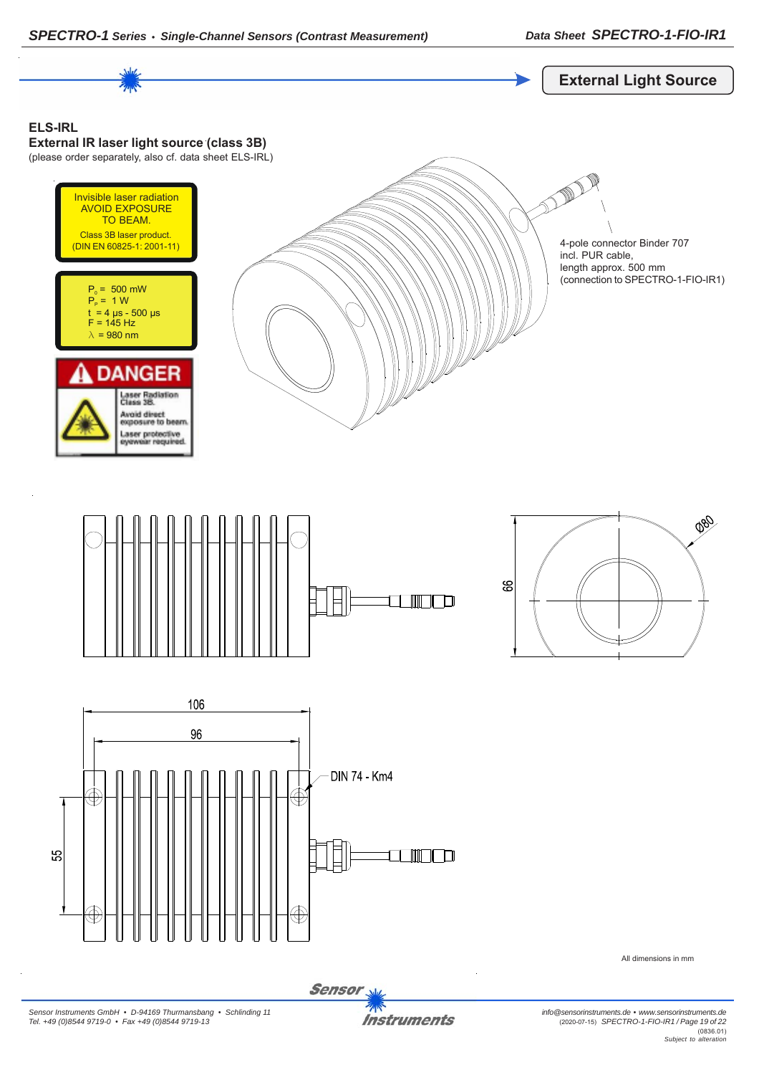



All dimensions in mm

Sensor

**Instruments**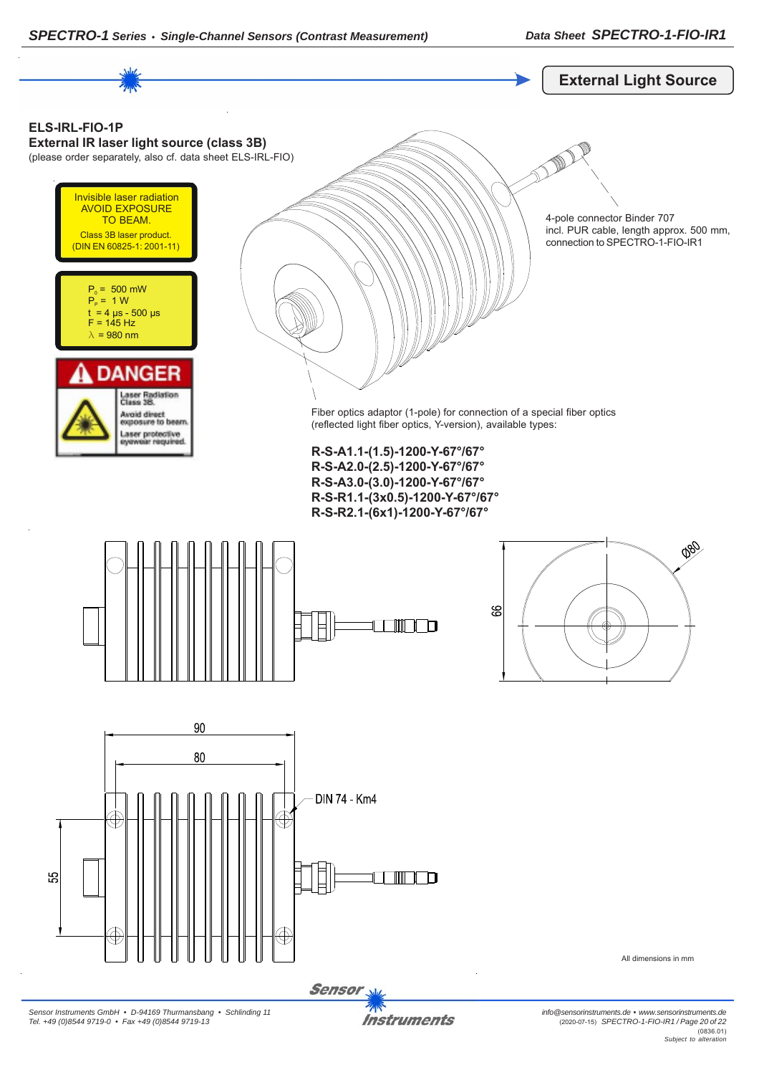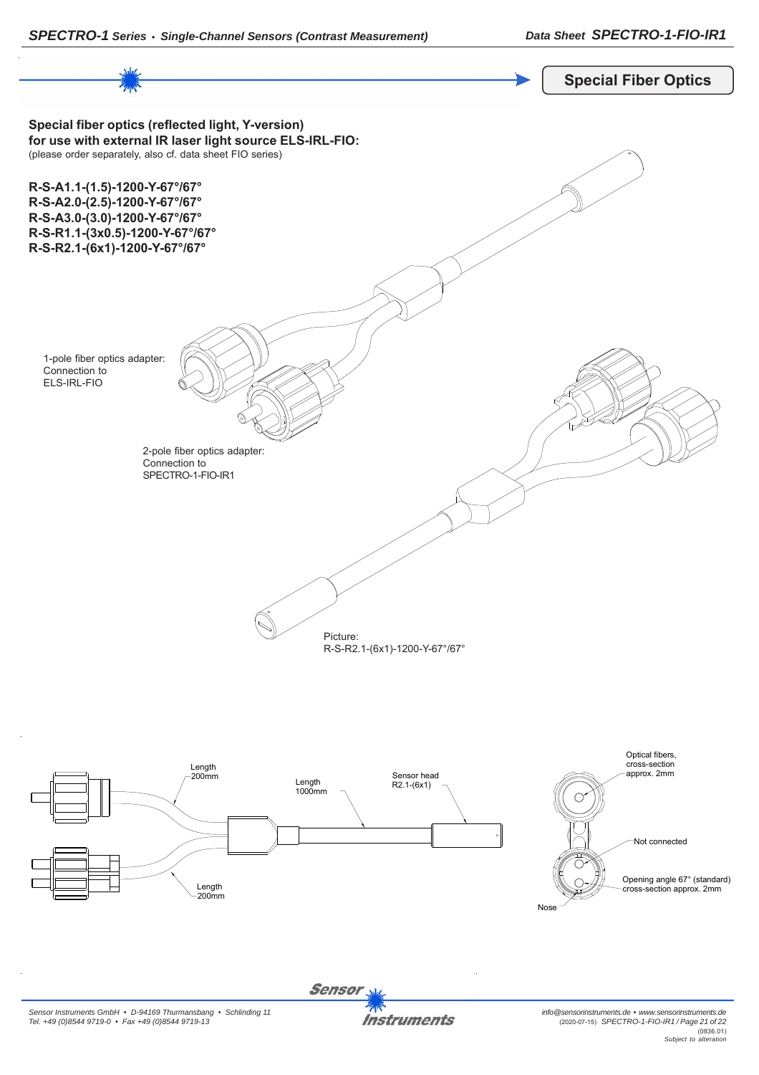